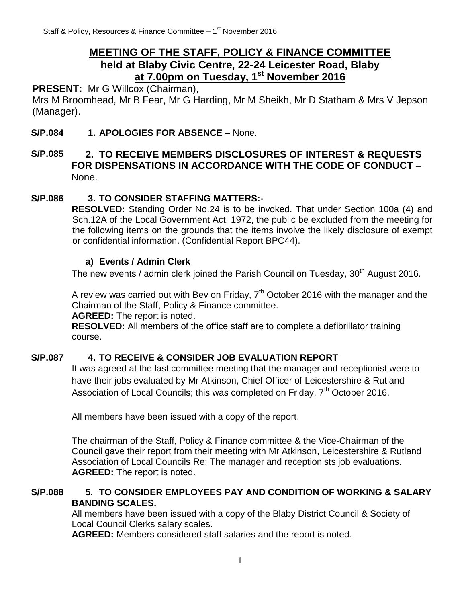# **MEETING OF THE STAFF, POLICY & FINANCE COMMITTEE held at Blaby Civic Centre, 22-24 Leicester Road, Blaby at 7.00pm on Tuesday, 1 st November 2016**

# PRESENT: Mr G Willcox (Chairman),

Mrs M Broomhead, Mr B Fear, Mr G Harding, Mr M Sheikh, Mr D Statham & Mrs V Jepson (Manager).

#### **S/P.084 1. APOLOGIES FOR ABSENCE –** None.

## **S/P.085 2. TO RECEIVE MEMBERS DISCLOSURES OF INTEREST & REQUESTS FOR DISPENSATIONS IN ACCORDANCE WITH THE CODE OF CONDUCT –** None.

### **S/P.086 3. TO CONSIDER STAFFING MATTERS:-**

**RESOLVED:** Standing Order No.24 is to be invoked. That under Section 100a (4) and Sch.12A of the Local Government Act, 1972, the public be excluded from the meeting for the following items on the grounds that the items involve the likely disclosure of exempt or confidential information. (Confidential Report BPC44).

#### **a) Events / Admin Clerk**

The new events / admin clerk joined the Parish Council on Tuesday,  $30<sup>th</sup>$  August 2016.

A review was carried out with Bev on Friday,  $7<sup>th</sup>$  October 2016 with the manager and the Chairman of the Staff, Policy & Finance committee.

**AGREED:** The report is noted.

**RESOLVED:** All members of the office staff are to complete a defibrillator training course.

#### **S/P.087 4. TO RECEIVE & CONSIDER JOB EVALUATION REPORT**

It was agreed at the last committee meeting that the manager and receptionist were to have their jobs evaluated by Mr Atkinson, Chief Officer of Leicestershire & Rutland Association of Local Councils; this was completed on Friday,  $7<sup>th</sup>$  October 2016.

All members have been issued with a copy of the report.

The chairman of the Staff, Policy & Finance committee & the Vice-Chairman of the Council gave their report from their meeting with Mr Atkinson, Leicestershire & Rutland Association of Local Councils Re: The manager and receptionists job evaluations. **AGREED:** The report is noted.

### **S/P.088 5. TO CONSIDER EMPLOYEES PAY AND CONDITION OF WORKING & SALARY BANDING SCALES.**

All members have been issued with a copy of the Blaby District Council & Society of Local Council Clerks salary scales.

**AGREED:** Members considered staff salaries and the report is noted.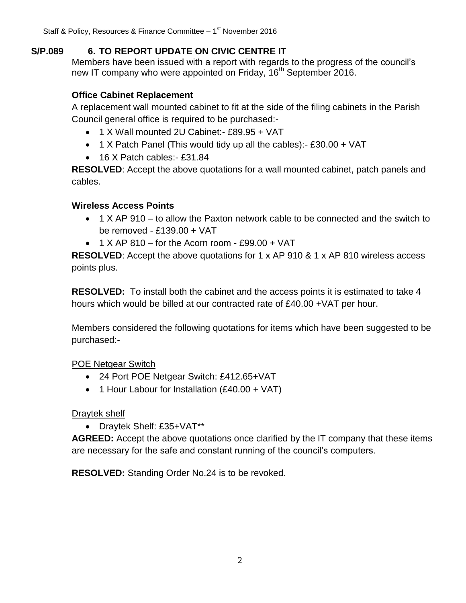## **S/P.089 6. TO REPORT UPDATE ON CIVIC CENTRE IT**

Members have been issued with a report with regards to the progress of the council's new IT company who were appointed on Friday, 16<sup>th</sup> September 2016.

## **Office Cabinet Replacement**

A replacement wall mounted cabinet to fit at the side of the filing cabinets in the Parish Council general office is required to be purchased:-

- 1 X Wall mounted 2U Cabinet:- £89.95 + VAT
- $\bullet$  1 X Patch Panel (This would tidy up all the cables):- £30.00 + VAT
- 16 X Patch cables: £31.84

**RESOLVED**: Accept the above quotations for a wall mounted cabinet, patch panels and cables.

## **Wireless Access Points**

- 1 X AP 910 to allow the Paxton network cable to be connected and the switch to be removed - £139.00 + VAT
- $\bullet$  1 X AP 810 for the Acorn room £99.00 + VAT

**RESOLVED**: Accept the above quotations for 1 x AP 910 & 1 x AP 810 wireless access points plus.

**RESOLVED:** To install both the cabinet and the access points it is estimated to take 4 hours which would be billed at our contracted rate of £40.00 +VAT per hour.

Members considered the following quotations for items which have been suggested to be purchased:-

POE Netgear Switch

- 24 Port POE Netgear Switch: £412.65+VAT
- 1 Hour Labour for Installation (£40.00 + VAT)

Draytek shelf

Draytek Shelf: £35+VAT\*\*

**AGREED:** Accept the above quotations once clarified by the IT company that these items are necessary for the safe and constant running of the council's computers.

**RESOLVED:** Standing Order No.24 is to be revoked.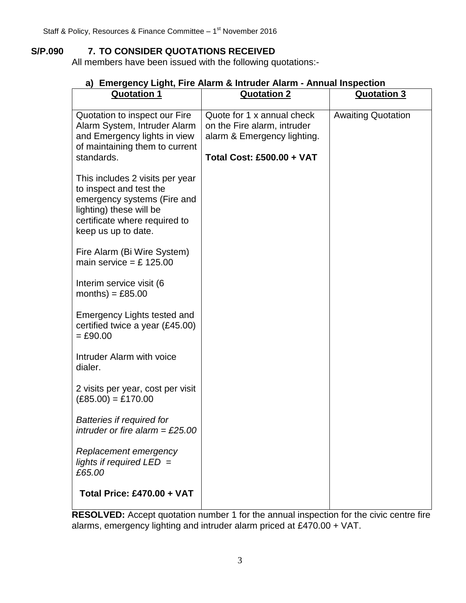## **S/P.090 7. TO CONSIDER QUOTATIONS RECEIVED**

All members have been issued with the following quotations:-

| <b>Quotation 1</b>                                                                                                                                                           | <b>Quotation 2</b>                                                                                                           | <b>Quotation 3</b>        |
|------------------------------------------------------------------------------------------------------------------------------------------------------------------------------|------------------------------------------------------------------------------------------------------------------------------|---------------------------|
| Quotation to inspect our Fire<br>Alarm System, Intruder Alarm<br>and Emergency lights in view<br>of maintaining them to current<br>standards.                                | Quote for 1 x annual check<br>on the Fire alarm, intruder<br>alarm & Emergency lighting.<br><b>Total Cost: £500.00 + VAT</b> | <b>Awaiting Quotation</b> |
| This includes 2 visits per year<br>to inspect and test the<br>emergency systems (Fire and<br>lighting) these will be<br>certificate where required to<br>keep us up to date. |                                                                                                                              |                           |
| Fire Alarm (Bi Wire System)<br>main service = £ 125.00                                                                                                                       |                                                                                                                              |                           |
| Interim service visit (6<br>months) = $£85.00$                                                                                                                               |                                                                                                                              |                           |
| Emergency Lights tested and<br>certified twice a year (£45.00)<br>$= £90.00$                                                                                                 |                                                                                                                              |                           |
| Intruder Alarm with voice<br>dialer.                                                                                                                                         |                                                                                                                              |                           |
| 2 visits per year, cost per visit<br>$(E85.00) = £170.00$                                                                                                                    |                                                                                                                              |                           |
| Batteries if required for<br>intruder or fire alarm = £25.00                                                                                                                 |                                                                                                                              |                           |
| Replacement emergency<br>lights if required $LED =$<br>£65.00                                                                                                                |                                                                                                                              |                           |
| <b>Total Price: £470.00 + VAT</b>                                                                                                                                            |                                                                                                                              |                           |

## **a) Emergency Light, Fire Alarm & Intruder Alarm - Annual Inspection**

**RESOLVED:** Accept quotation number 1 for the annual inspection for the civic centre fire alarms, emergency lighting and intruder alarm priced at £470.00 + VAT.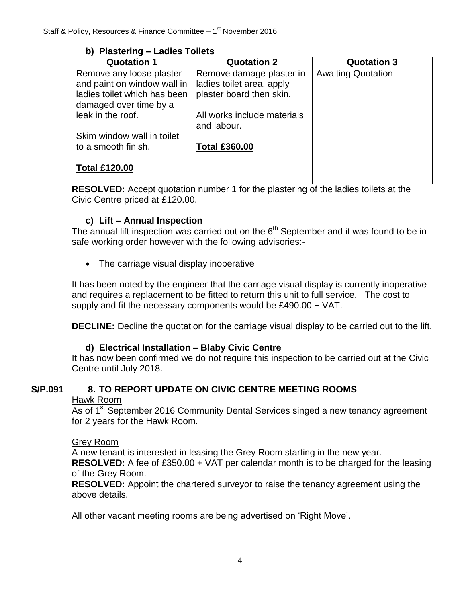### **b) Plastering – Ladies Toilets**

| <b>Quotation 1</b>           | <b>Quotation 2</b>          | <b>Quotation 3</b>        |
|------------------------------|-----------------------------|---------------------------|
| Remove any loose plaster     | Remove damage plaster in    | <b>Awaiting Quotation</b> |
| and paint on window wall in  | ladies toilet area, apply   |                           |
| ladies toilet which has been | plaster board then skin.    |                           |
| damaged over time by a       |                             |                           |
| leak in the roof.            | All works include materials |                           |
|                              | and labour.                 |                           |
| Skim window wall in toilet   |                             |                           |
| to a smooth finish.          | <b>Total £360.00</b>        |                           |
|                              |                             |                           |
| <b>Total £120.00</b>         |                             |                           |
|                              |                             |                           |

**RESOLVED:** Accept quotation number 1 for the plastering of the ladies toilets at the Civic Centre priced at £120.00.

### **c) Lift – Annual Inspection**

The annual lift inspection was carried out on the  $6<sup>th</sup>$  September and it was found to be in safe working order however with the following advisories:-

• The carriage visual display inoperative

It has been noted by the engineer that the carriage visual display is currently inoperative and requires a replacement to be fitted to return this unit to full service. The cost to supply and fit the necessary components would be £490.00 + VAT.

**DECLINE:** Decline the quotation for the carriage visual display to be carried out to the lift.

## **d) Electrical Installation – Blaby Civic Centre**

It has now been confirmed we do not require this inspection to be carried out at the Civic Centre until July 2018.

## **S/P.091 8. TO REPORT UPDATE ON CIVIC CENTRE MEETING ROOMS**

#### Hawk Room

As of 1<sup>st</sup> September 2016 Community Dental Services singed a new tenancy agreement for 2 years for the Hawk Room.

#### Grey Room

A new tenant is interested in leasing the Grey Room starting in the new year.

**RESOLVED:** A fee of £350.00 + VAT per calendar month is to be charged for the leasing of the Grey Room.

**RESOLVED:** Appoint the chartered surveyor to raise the tenancy agreement using the above details.

All other vacant meeting rooms are being advertised on 'Right Move'.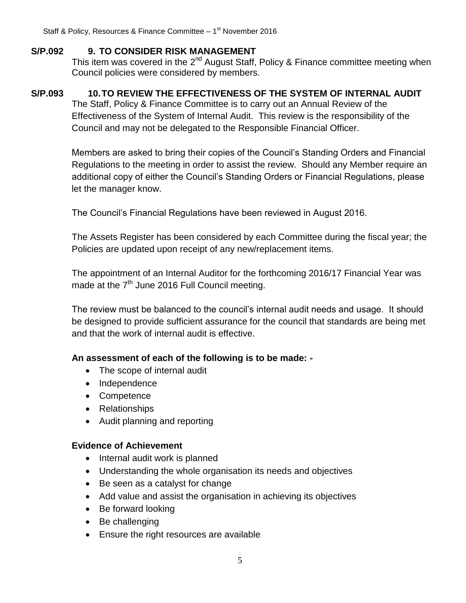### **S/P.092 9. TO CONSIDER RISK MANAGEMENT**

This item was covered in the 2<sup>nd</sup> August Staff, Policy & Finance committee meeting when Council policies were considered by members.

## **S/P.093 10.TO REVIEW THE EFFECTIVENESS OF THE SYSTEM OF INTERNAL AUDIT**

The Staff, Policy & Finance Committee is to carry out an Annual Review of the Effectiveness of the System of Internal Audit. This review is the responsibility of the Council and may not be delegated to the Responsible Financial Officer.

Members are asked to bring their copies of the Council's Standing Orders and Financial Regulations to the meeting in order to assist the review. Should any Member require an additional copy of either the Council's Standing Orders or Financial Regulations, please let the manager know.

The Council's Financial Regulations have been reviewed in August 2016.

The Assets Register has been considered by each Committee during the fiscal year; the Policies are updated upon receipt of any new/replacement items.

The appointment of an Internal Auditor for the forthcoming 2016/17 Financial Year was made at the  $7<sup>th</sup>$  June 2016 Full Council meeting.

The review must be balanced to the council's internal audit needs and usage. It should be designed to provide sufficient assurance for the council that standards are being met and that the work of internal audit is effective.

## **An assessment of each of the following is to be made: -**

- The scope of internal audit
- Independence
- Competence
- Relationships
- Audit planning and reporting

#### **Evidence of Achievement**

- Internal audit work is planned
- Understanding the whole organisation its needs and objectives
- Be seen as a catalyst for change
- Add value and assist the organisation in achieving its objectives
- Be forward looking
- Be challenging
- Ensure the right resources are available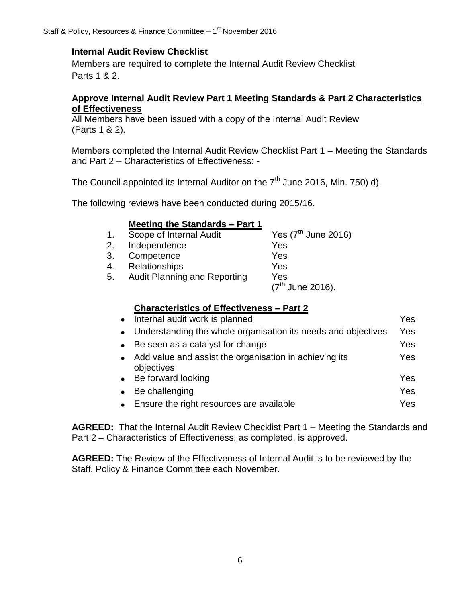## **Internal Audit Review Checklist**

Members are required to complete the Internal Audit Review Checklist Parts 1 & 2.

#### **Approve Internal Audit Review Part 1 Meeting Standards & Part 2 Characteristics of Effectiveness**

All Members have been issued with a copy of the Internal Audit Review (Parts 1 & 2).

Members completed the Internal Audit Review Checklist Part 1 – Meeting the Standards and Part 2 – Characteristics of Effectiveness: -

The Council appointed its Internal Auditor on the  $7<sup>th</sup>$  June 2016, Min. 750) d).

The following reviews have been conducted during 2015/16.

### **Meeting the Standards – Part 1**

| 1. | Scope of Internal Audit             | Yes $(7th$ June 2016) |
|----|-------------------------------------|-----------------------|
| 2. | Independence                        | Yes                   |
| 3. | Competence                          | Yes                   |
| 4. | <b>Relationships</b>                | Yes                   |
| 5. | <b>Audit Planning and Reporting</b> | Yes                   |
|    |                                     | $(7^{th}$ June 2016). |
|    |                                     |                       |

#### **Characteristics of Effectiveness – Part 2**

|           | • Internal audit work is planned                                       | Yes |
|-----------|------------------------------------------------------------------------|-----|
|           | • Understanding the whole organisation its needs and objectives        | Yes |
|           | • Be seen as a catalyst for change                                     | Yes |
|           | • Add value and assist the organisation in achieving its<br>objectives | Yes |
|           | • Be forward looking                                                   | Yes |
| $\bullet$ | Be challenging                                                         | Yes |
|           | • Ensure the right resources are available                             | Yes |

**AGREED:** That the Internal Audit Review Checklist Part 1 – Meeting the Standards and Part 2 – Characteristics of Effectiveness, as completed, is approved.

**AGREED:** The Review of the Effectiveness of Internal Audit is to be reviewed by the Staff, Policy & Finance Committee each November.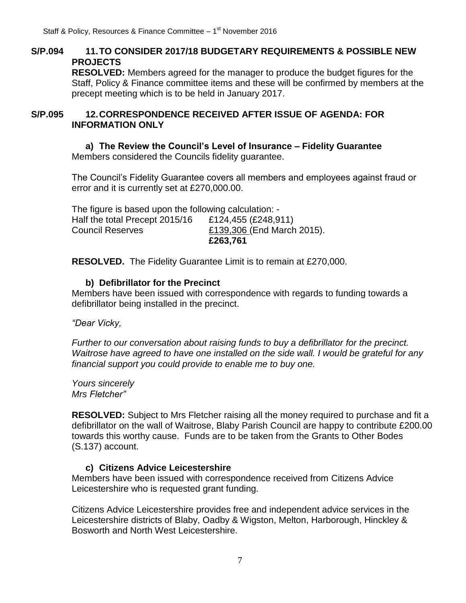## **S/P.094 11.TO CONSIDER 2017/18 BUDGETARY REQUIREMENTS & POSSIBLE NEW PROJECTS**

**RESOLVED:** Members agreed for the manager to produce the budget figures for the Staff, Policy & Finance committee items and these will be confirmed by members at the precept meeting which is to be held in January 2017.

#### **S/P.095 12.CORRESPONDENCE RECEIVED AFTER ISSUE OF AGENDA: FOR INFORMATION ONLY**

**a) The Review the Council's Level of Insurance – Fidelity Guarantee** Members considered the Councils fidelity guarantee.

The Council's Fidelity Guarantee covers all members and employees against fraud or error and it is currently set at £270,000.00.

|                                                       | £263,761                   |
|-------------------------------------------------------|----------------------------|
| <b>Council Reserves</b>                               | £139,306 (End March 2015). |
| Half the total Precept 2015/16                        | £124,455 (£248,911)        |
| The figure is based upon the following calculation: - |                            |

**RESOLVED.** The Fidelity Guarantee Limit is to remain at £270,000.

### **b) Defibrillator for the Precinct**

Members have been issued with correspondence with regards to funding towards a defibrillator being installed in the precinct.

*"Dear Vicky,*

*Further to our conversation about raising funds to buy a defibrillator for the precinct. Waitrose have agreed to have one installed on the side wall. I would be grateful for any financial support you could provide to enable me to buy one.* 

*Yours sincerely Mrs Fletcher"*

**RESOLVED:** Subject to Mrs Fletcher raising all the money required to purchase and fit a defibrillator on the wall of Waitrose, Blaby Parish Council are happy to contribute £200.00 towards this worthy cause. Funds are to be taken from the Grants to Other Bodes (S.137) account.

## **c) Citizens Advice Leicestershire**

Members have been issued with correspondence received from Citizens Advice Leicestershire who is requested grant funding.

Citizens Advice Leicestershire provides free and independent advice services in the Leicestershire districts of Blaby, Oadby & Wigston, Melton, Harborough, Hinckley & Bosworth and North West Leicestershire.